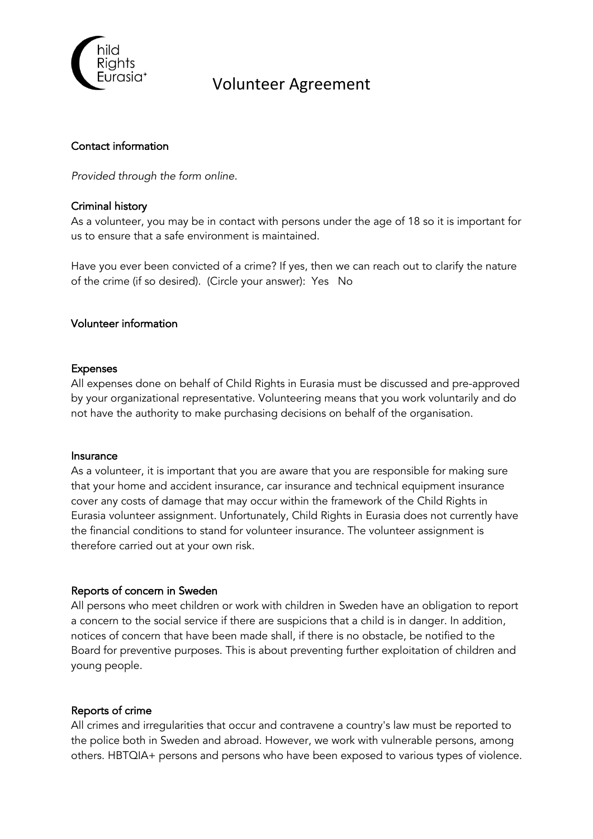

# Volunteer Agreement

### Contact information

*Provided through the form online.*

### Criminal history

As a volunteer, you may be in contact with persons under the age of 18 so it is important for us to ensure that a safe environment is maintained.

Have you ever been convicted of a crime? If yes, then we can reach out to clarify the nature of the crime (if so desired). (Circle your answer): Yes No

### Volunteer information

### Expenses

All expenses done on behalf of Child Rights in Eurasia must be discussed and pre-approved by your organizational representative. Volunteering means that you work voluntarily and do not have the authority to make purchasing decisions on behalf of the organisation.

#### Insurance

As a volunteer, it is important that you are aware that you are responsible for making sure that your home and accident insurance, car insurance and technical equipment insurance cover any costs of damage that may occur within the framework of the Child Rights in Eurasia volunteer assignment. Unfortunately, Child Rights in Eurasia does not currently have the financial conditions to stand for volunteer insurance. The volunteer assignment is therefore carried out at your own risk.

### Reports of concern in Sweden

All persons who meet children or work with children in Sweden have an obligation to report a concern to the social service if there are suspicions that a child is in danger. In addition, notices of concern that have been made shall, if there is no obstacle, be notified to the Board for preventive purposes. This is about preventing further exploitation of children and young people.

### Reports of crime

All crimes and irregularities that occur and contravene a country's law must be reported to the police both in Sweden and abroad. However, we work with vulnerable persons, among others. HBTQIA+ persons and persons who have been exposed to various types of violence.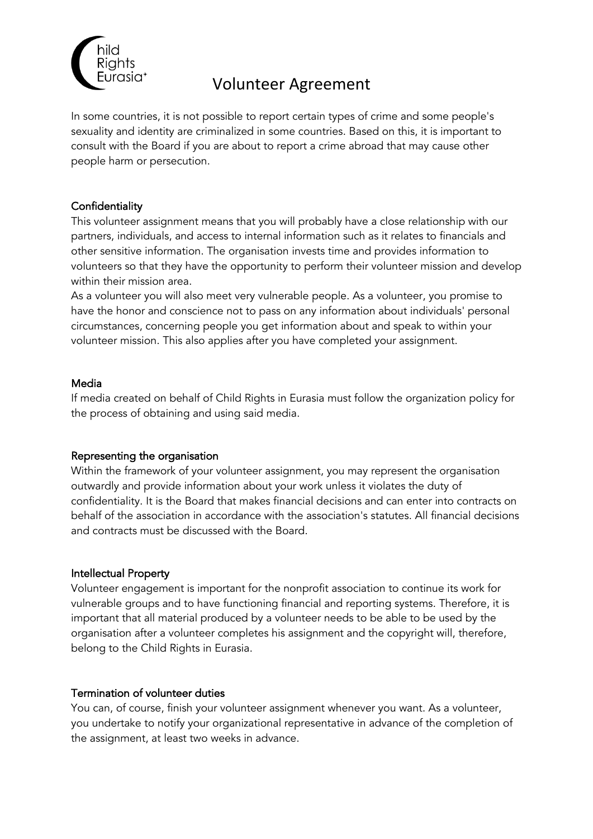

# Volunteer Agreement

In some countries, it is not possible to report certain types of crime and some people's sexuality and identity are criminalized in some countries. Based on this, it is important to consult with the Board if you are about to report a crime abroad that may cause other people harm or persecution.

## **Confidentiality**

This volunteer assignment means that you will probably have a close relationship with our partners, individuals, and access to internal information such as it relates to financials and other sensitive information. The organisation invests time and provides information to volunteers so that they have the opportunity to perform their volunteer mission and develop within their mission area.

As a volunteer you will also meet very vulnerable people. As a volunteer, you promise to have the honor and conscience not to pass on any information about individuals' personal circumstances, concerning people you get information about and speak to within your volunteer mission. This also applies after you have completed your assignment.

### Media

If media created on behalf of Child Rights in Eurasia must follow the organization policy for the process of obtaining and using said media.

### Representing the organisation

Within the framework of your volunteer assignment, you may represent the organisation outwardly and provide information about your work unless it violates the duty of confidentiality. It is the Board that makes financial decisions and can enter into contracts on behalf of the association in accordance with the association's statutes. All financial decisions and contracts must be discussed with the Board.

### Intellectual Property

Volunteer engagement is important for the nonprofit association to continue its work for vulnerable groups and to have functioning financial and reporting systems. Therefore, it is important that all material produced by a volunteer needs to be able to be used by the organisation after a volunteer completes his assignment and the copyright will, therefore, belong to the Child Rights in Eurasia.

### Termination of volunteer duties

You can, of course, finish your volunteer assignment whenever you want. As a volunteer, you undertake to notify your organizational representative in advance of the completion of the assignment, at least two weeks in advance.